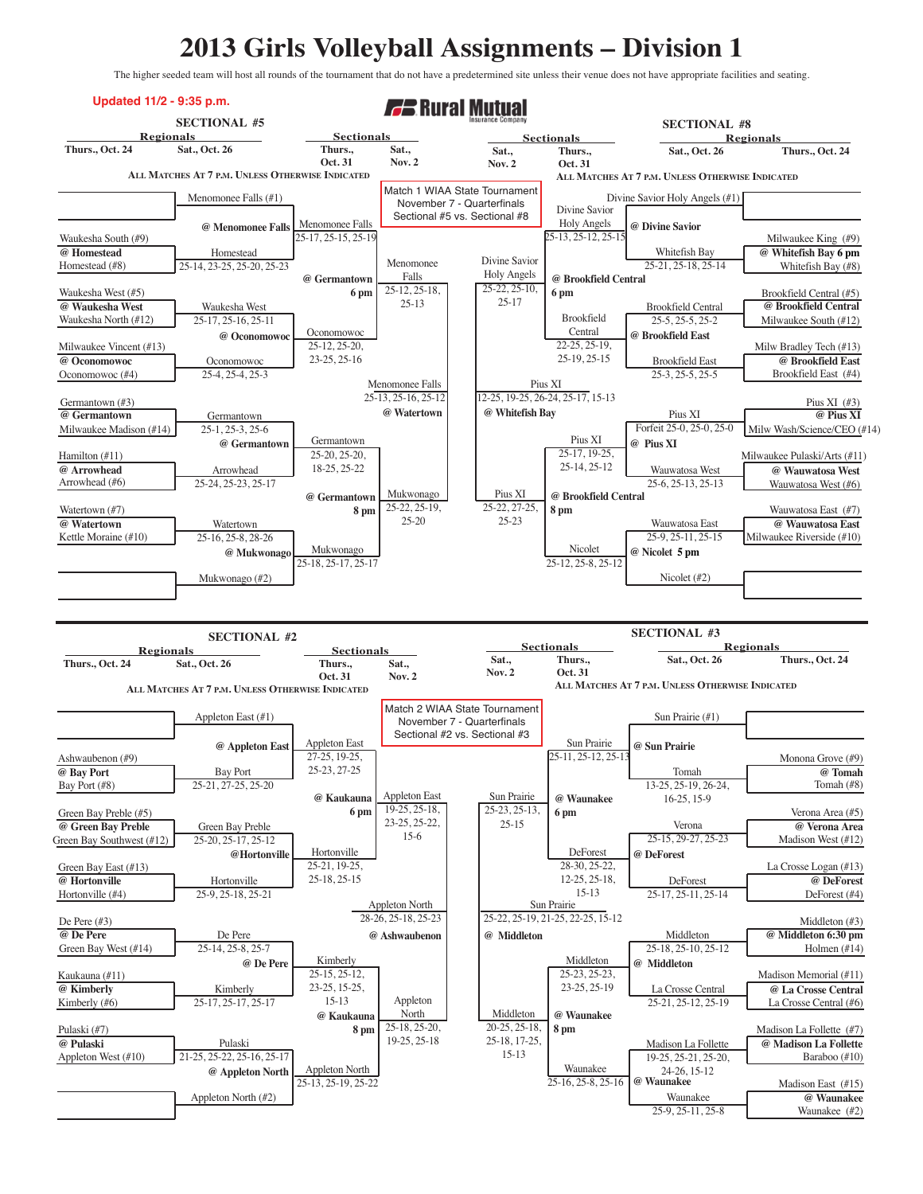## **2013 Girls Volleyball Assignments – Division 1**

The higher seeded team will host all rounds of the tournament that do not have a predetermined site unless their venue does not have appropriate facilities and seating.